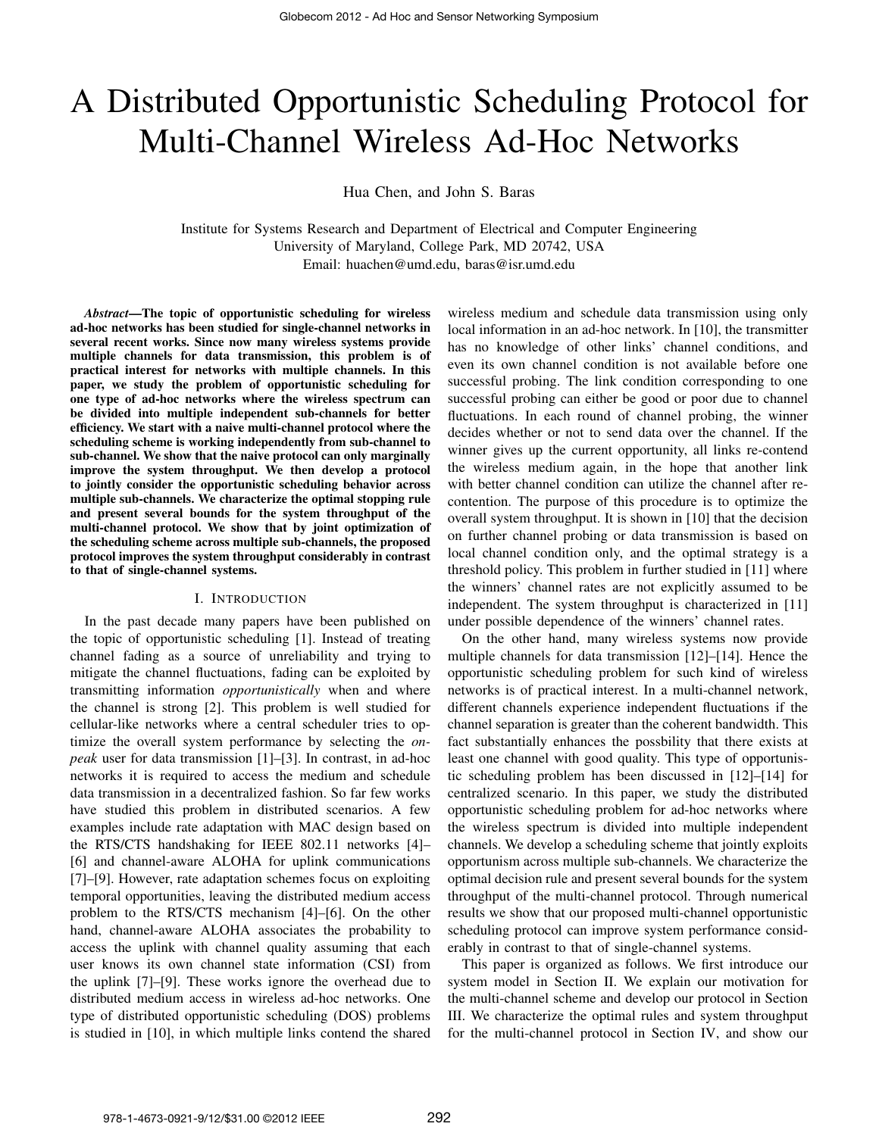# A Distributed Opportunistic Scheduling Protocol for Multi-Channel Wireless Ad-Hoc Networks

Hua Chen, and John S. Baras

Institute for Systems Research and Department of Electrical and Computer Engineering University of Maryland, College Park, MD 20742, USA Email: huachen@umd.edu, baras@isr.umd.edu

*Abstract***—The topic of opportunistic scheduling for wireless ad-hoc networks has been studied for single-channel networks in several recent works. Since now many wireless systems provide multiple channels for data transmission, this problem is of practical interest for networks with multiple channels. In this paper, we study the problem of opportunistic scheduling for one type of ad-hoc networks where the wireless spectrum can be divided into multiple independent sub-channels for better efficiency. We start with a naive multi-channel protocol where the scheduling scheme is working independently from sub-channel to sub-channel. We show that the naive protocol can only marginally improve the system throughput. We then develop a protocol to jointly consider the opportunistic scheduling behavior across multiple sub-channels. We characterize the optimal stopping rule and present several bounds for the system throughput of the multi-channel protocol. We show that by joint optimization of the scheduling scheme across multiple sub-channels, the proposed protocol improves the system throughput considerably in contrast to that of single-channel systems.**

## I. INTRODUCTION

In the past decade many papers have been published on the topic of opportunistic scheduling [1]. Instead of treating channel fading as a source of unreliability and trying to mitigate the channel fluctuations, fading can be exploited by transmitting information *opportunistically* when and where the channel is strong [2]. This problem is well studied for cellular-like networks where a central scheduler tries to optimize the overall system performance by selecting the *onpeak* user for data transmission [1]–[3]. In contrast, in ad-hoc networks it is required to access the medium and schedule data transmission in a decentralized fashion. So far few works have studied this problem in distributed scenarios. A few examples include rate adaptation with MAC design based on the RTS/CTS handshaking for IEEE 802.11 networks [4]– [6] and channel-aware ALOHA for uplink communications [7]–[9]. However, rate adaptation schemes focus on exploiting temporal opportunities, leaving the distributed medium access problem to the RTS/CTS mechanism [4]–[6]. On the other hand, channel-aware ALOHA associates the probability to access the uplink with channel quality assuming that each user knows its own channel state information (CSI) from the uplink [7]–[9]. These works ignore the overhead due to distributed medium access in wireless ad-hoc networks. One type of distributed opportunistic scheduling (DOS) problems is studied in [10], in which multiple links contend the shared

wireless medium and schedule data transmission using only local information in an ad-hoc network. In [10], the transmitter has no knowledge of other links' channel conditions, and even its own channel condition is not available before one successful probing. The link condition corresponding to one successful probing can either be good or poor due to channel fluctuations. In each round of channel probing, the winner decides whether or not to send data over the channel. If the winner gives up the current opportunity, all links re-contend the wireless medium again, in the hope that another link with better channel condition can utilize the channel after recontention. The purpose of this procedure is to optimize the overall system throughput. It is shown in [10] that the decision on further channel probing or data transmission is based on local channel condition only, and the optimal strategy is a threshold policy. This problem in further studied in [11] where the winners' channel rates are not explicitly assumed to be independent. The system throughput is characterized in [11] under possible dependence of the winners' channel rates.

On the other hand, many wireless systems now provide multiple channels for data transmission [12]–[14]. Hence the opportunistic scheduling problem for such kind of wireless networks is of practical interest. In a multi-channel network, different channels experience independent fluctuations if the channel separation is greater than the coherent bandwidth. This fact substantially enhances the possbility that there exists at least one channel with good quality. This type of opportunistic scheduling problem has been discussed in [12]–[14] for centralized scenario. In this paper, we study the distributed opportunistic scheduling problem for ad-hoc networks where the wireless spectrum is divided into multiple independent channels. We develop a scheduling scheme that jointly exploits opportunism across multiple sub-channels. We characterize the optimal decision rule and present several bounds for the system throughput of the multi-channel protocol. Through numerical results we show that our proposed multi-channel opportunistic scheduling protocol can improve system performance considerably in contrast to that of single-channel systems.

This paper is organized as follows. We first introduce our system model in Section II. We explain our motivation for the multi-channel scheme and develop our protocol in Section III. We characterize the optimal rules and system throughput for the multi-channel protocol in Section IV, and show our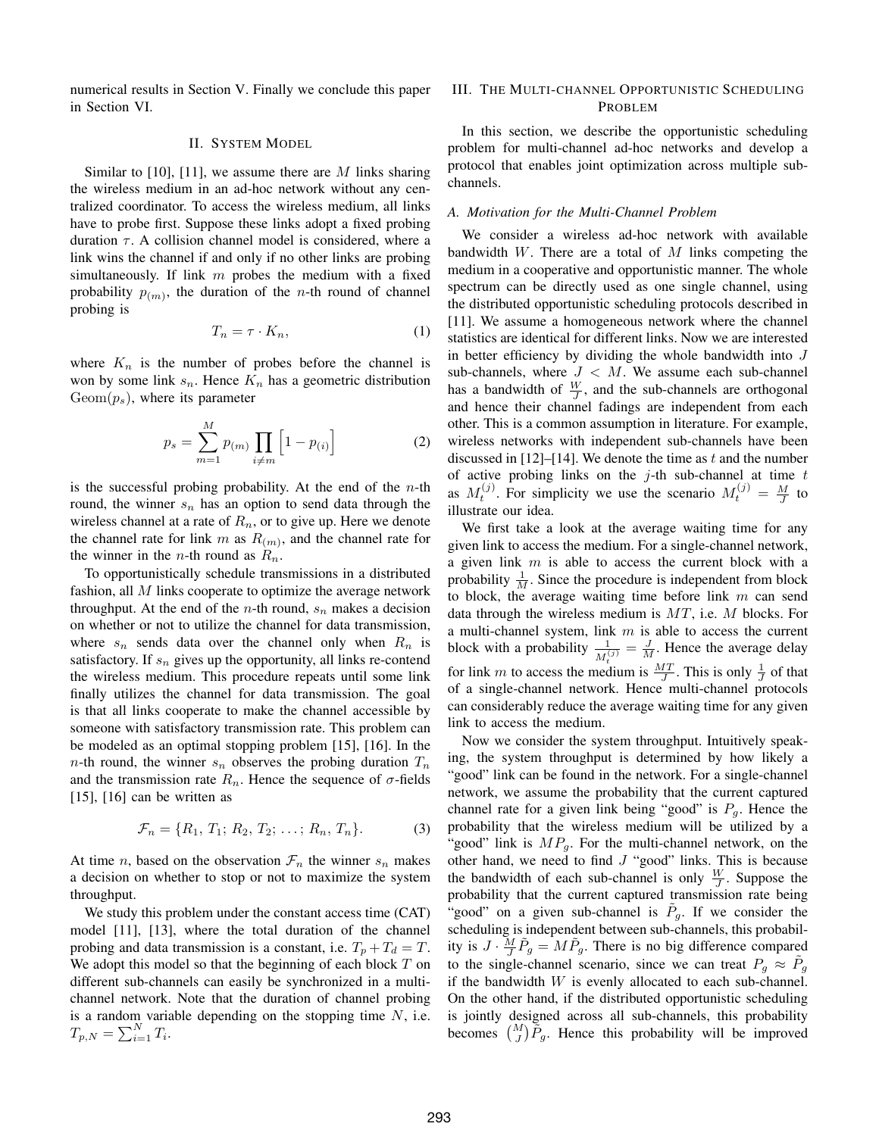numerical results in Section V. Finally we conclude this paper in Section VI.

## II. SYSTEM MODEL

Similar to [10], [11], we assume there are  $M$  links sharing the wireless medium in an ad-hoc network without any centralized coordinator. To access the wireless medium, all links have to probe first. Suppose these links adopt a fixed probing duration  $\tau$ . A collision channel model is considered, where a link wins the channel if and only if no other links are probing simultaneously. If link  $m$  probes the medium with a fixed probability  $p(m)$ , the duration of the *n*-th round of channel probing is

$$
T_n = \tau \cdot K_n,\tag{1}
$$

where  $K_n$  is the number of probes before the channel is won by some link  $s_n$ . Hence  $K_n$  has a geometric distribution  $Geom(p_s)$ , where its parameter

$$
p_s = \sum_{m=1}^{M} p_{(m)} \prod_{i \neq m} \left[ 1 - p_{(i)} \right]
$$
 (2)

is the successful probing probability. At the end of the  $n$ -th round, the winner  $s_n$  has an option to send data through the wireless channel at a rate of  $R_n$ , or to give up. Here we denote the channel rate for link m as  $R(m)$ , and the channel rate for the winner in the *n*-th round as  $R_n$ .

To opportunistically schedule transmissions in a distributed fashion, all  $M$  links cooperate to optimize the average network throughput. At the end of the *n*-th round,  $s_n$  makes a decision on whether or not to utilize the channel for data transmission, where  $s_n$  sends data over the channel only when  $R_n$  is satisfactory. If  $s_n$  gives up the opportunity, all links re-contend the wireless medium. This procedure repeats until some link finally utilizes the channel for data transmission. The goal is that all links cooperate to make the channel accessible by someone with satisfactory transmission rate. This problem can be modeled as an optimal stopping problem [15], [16]. In the  $n$ -th round, the winner  $s_n$  observes the probing duration  $T_n$ and the transmission rate  $R_n$ . Hence the sequence of  $\sigma$ -fields  $[15]$ ,  $[16]$  can be written as

$$
\mathcal{F}_n = \{R_1, T_1; R_2, T_2; \dots; R_n, T_n\}.
$$
 (3)

At time *n*, based on the observation  $\mathcal{F}_n$  the winner  $s_n$  makes a decision on whether to stop or not to maximize the system throughput.

We study this problem under the constant access time (CAT) model [11], [13], where the total duration of the channel probing and data transmission is a constant, i.e.  $T_p + T_d = T$ . We adopt this model so that the beginning of each block  $T$  on different sub-channels can easily be synchronized in a multichannel network. Note that the duration of channel probing is a random variable depending on the stopping time  $N$ , i.e.  $T_{p,N} = \sum_{i=1}^{N} T_i$ .

## III. THE MULTI-CHANNEL OPPORTUNISTIC SCHEDULING **PROBLEM**

In this section, we describe the opportunistic scheduling problem for multi-channel ad-hoc networks and develop a protocol that enables joint optimization across multiple subchannels.

## *A. Motivation for the Multi-Channel Problem*

We consider a wireless ad-hoc network with available bandwidth  $W$ . There are a total of  $M$  links competing the medium in a cooperative and opportunistic manner. The whole spectrum can be directly used as one single channel, using the distributed opportunistic scheduling protocols described in [11]. We assume a homogeneous network where the channel statistics are identical for different links. Now we are interested in better efficiency by dividing the whole bandwidth into  $J$ sub-channels, where  $J < M$ . We assume each sub-channel has a bandwidth of  $\frac{W}{J}$ , and the sub-channels are orthogonal and hence their channel fadings are independent from each other. This is a common assumption in literature. For example, wireless networks with independent sub-channels have been discussed in  $[12]$ –[14]. We denote the time as t and the number of active probing links on the  $j$ -th sub-channel at time  $t$ as  $M_t^{(j)}$ . For simplicity we use the scenario  $M_t^{(j)} = \frac{M}{J}$  to illustrate our idea.

We first take a look at the average waiting time for any given link to access the medium. For a single-channel network, a given link  $m$  is able to access the current block with a probability  $\frac{1}{M}$ . Since the procedure is independent from block to block, the average waiting time before link  $m$  can send data through the wireless medium is  $MT$ , i.e. M blocks. For a multi-channel system, link  $m$  is able to access the current block with a probability  $\frac{1}{M_t^{(j)}} = \frac{J}{M}$ . Hence the average delay for link m to access the medium is  $\frac{MT}{J}$ . This is only  $\frac{1}{J}$  of that of a single-channel network. Hence multi-channel protocols can considerably reduce the average waiting time for any given link to access the medium.

Now we consider the system throughput. Intuitively speaking, the system throughput is determined by how likely a "good" link can be found in the network. For a single-channel network, we assume the probability that the current captured channel rate for a given link being "good" is  $P_g$ . Hence the probability that the wireless medium will be utilized by a "good" link is  $MP<sub>g</sub>$ . For the multi-channel network, on the other hand, we need to find  $J$  "good" links. This is because the bandwidth of each sub-channel is only  $\frac{W}{J}$ . Suppose the probability that the current captured transmission rate being "good" on a given sub-channel is  $\tilde{P}_g$ . If we consider the scheduling is independent between sub-channels, this probability is  $J \cdot \frac{M}{J} \tilde{P}_g = M \tilde{P}_g$ . There is no big difference compared to the single-channel scenario, since we can treat  $P_g \approx \tilde{P}_g$ if the bandwidth  $W$  is evenly allocated to each sub-channel. On the other hand, if the distributed opportunistic scheduling is jointly designed across all sub-channels, this probability becomes  $\binom{M}{J}\tilde{P}_g$ . Hence this probability will be improved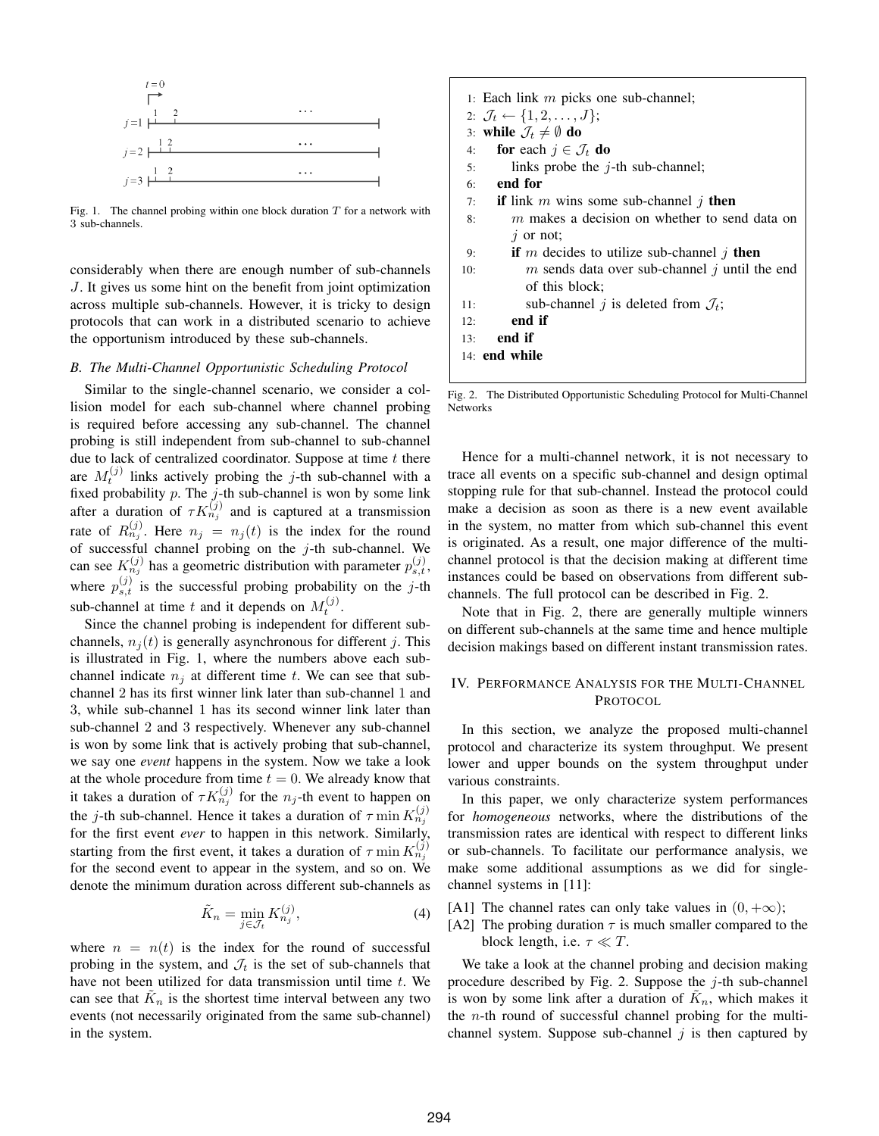

Fig. 1. The channel probing within one block duration  $T$  for a network with 3 sub-channels.

considerably when there are enough number of sub-channels J. It gives us some hint on the benefit from joint optimization across multiple sub-channels. However, it is tricky to design protocols that can work in a distributed scenario to achieve the opportunism introduced by these sub-channels.

#### *B. The Multi-Channel Opportunistic Scheduling Protocol*

Similar to the single-channel scenario, we consider a collision model for each sub-channel where channel probing is required before accessing any sub-channel. The channel probing is still independent from sub-channel to sub-channel due to lack of centralized coordinator. Suppose at time  $t$  there are  $M_t^{(j)}$  links actively probing the j-th sub-channel with a fixed probability  $p$ . The  $j$ -th sub-channel is won by some link after a duration of  $\tau K_{n_j}^{(j)}$  and is captured at a transmission rate of  $R_{n_j}^{(j)}$ . Here  $n_j = n_j(t)$  is the index for the round of successful channel probing on the  $j$ -th sub-channel. We can see  $K_{n_j}^{(j)}$  has a geometric distribution with parameter  $p_{s,t}^{(j)}$ , where  $p_{s,t}^{(j)}$  is the successful probing probability on the j-th sub-channel at time t and it depends on  $M_t^{(j)}$ .

Since the channel probing is independent for different subchannels,  $n_i(t)$  is generally asynchronous for different j. This is illustrated in Fig. 1, where the numbers above each subchannel indicate  $n_i$  at different time t. We can see that subchannel 2 has its first winner link later than sub-channel 1 and 3, while sub-channel 1 has its second winner link later than sub-channel 2 and 3 respectively. Whenever any sub-channel is won by some link that is actively probing that sub-channel, we say one *event* happens in the system. Now we take a look at the whole procedure from time  $t = 0$ . We already know that it takes a duration of  $\tau K_{n_j}^{(j)}$  for the  $n_j$ -th event to happen on the j-th sub-channel. Hence it takes a duration of  $\tau$  min  $K_{n_j}^{(j)}$ for the first event *ever* to happen in this network. Similarly, starting from the first event, it takes a duration of  $\tau$  min  $K_{n_j}^{(j)}$ for the second event to appear in the system, and so on. We denote the minimum duration across different sub-channels as

$$
\tilde{K}_n = \min_{j \in \mathcal{J}_t} K_{n_j}^{(j)},\tag{4}
$$

where  $n = n(t)$  is the index for the round of successful probing in the system, and  $\mathcal{J}_t$  is the set of sub-channels that have not been utilized for data transmission until time  $t$ . We can see that  $\tilde{K}_n$  is the shortest time interval between any two events (not necessarily originated from the same sub-channel) in the system.

- 1: Each link  $m$  picks one sub-channel;
- 2:  $\mathcal{J}_t \leftarrow \{1, 2, \ldots, J\};$
- 3: **while**  $\mathcal{J}_t \neq \emptyset$  **do**
- 4: **for** each  $j \in \mathcal{J}_t$  **do**
- 5: links probe the  $j$ -th sub-channel;
- 6: **end for**
- 7: **if** link m wins some sub-channel j then
- 8: m makes a decision on whether to send data on  $i$  or not;
- 9: **if** m decides to utilize sub-channel j **then**
- 10:  $m$  sends data over sub-channel  $j$  until the end of this block;
- 11: sub-channel *j* is deleted from  $\mathcal{J}_t$ ;
- 12: **end if**
- 13: **end if**
- 14: **end while**

Fig. 2. The Distributed Opportunistic Scheduling Protocol for Multi-Channel Networks

Hence for a multi-channel network, it is not necessary to trace all events on a specific sub-channel and design optimal stopping rule for that sub-channel. Instead the protocol could make a decision as soon as there is a new event available in the system, no matter from which sub-channel this event is originated. As a result, one major difference of the multichannel protocol is that the decision making at different time instances could be based on observations from different subchannels. The full protocol can be described in Fig. 2.

Note that in Fig. 2, there are generally multiple winners on different sub-channels at the same time and hence multiple decision makings based on different instant transmission rates.

## IV. PERFORMANCE ANALYSIS FOR THE MULTI-CHANNEL PROTOCOL

In this section, we analyze the proposed multi-channel protocol and characterize its system throughput. We present lower and upper bounds on the system throughput under various constraints.

In this paper, we only characterize system performances for *homogeneous* networks, where the distributions of the transmission rates are identical with respect to different links or sub-channels. To facilitate our performance analysis, we make some additional assumptions as we did for singlechannel systems in [11]:

[A1] The channel rates can only take values in  $(0, +\infty)$ ;

[A2] The probing duration  $\tau$  is much smaller compared to the block length, i.e.  $\tau \ll T$ .

We take a look at the channel probing and decision making procedure described by Fig. 2. Suppose the  $j$ -th sub-channel is won by some link after a duration of  $\tilde{K}_n$ , which makes it the  $n$ -th round of successful channel probing for the multichannel system. Suppose sub-channel  $j$  is then captured by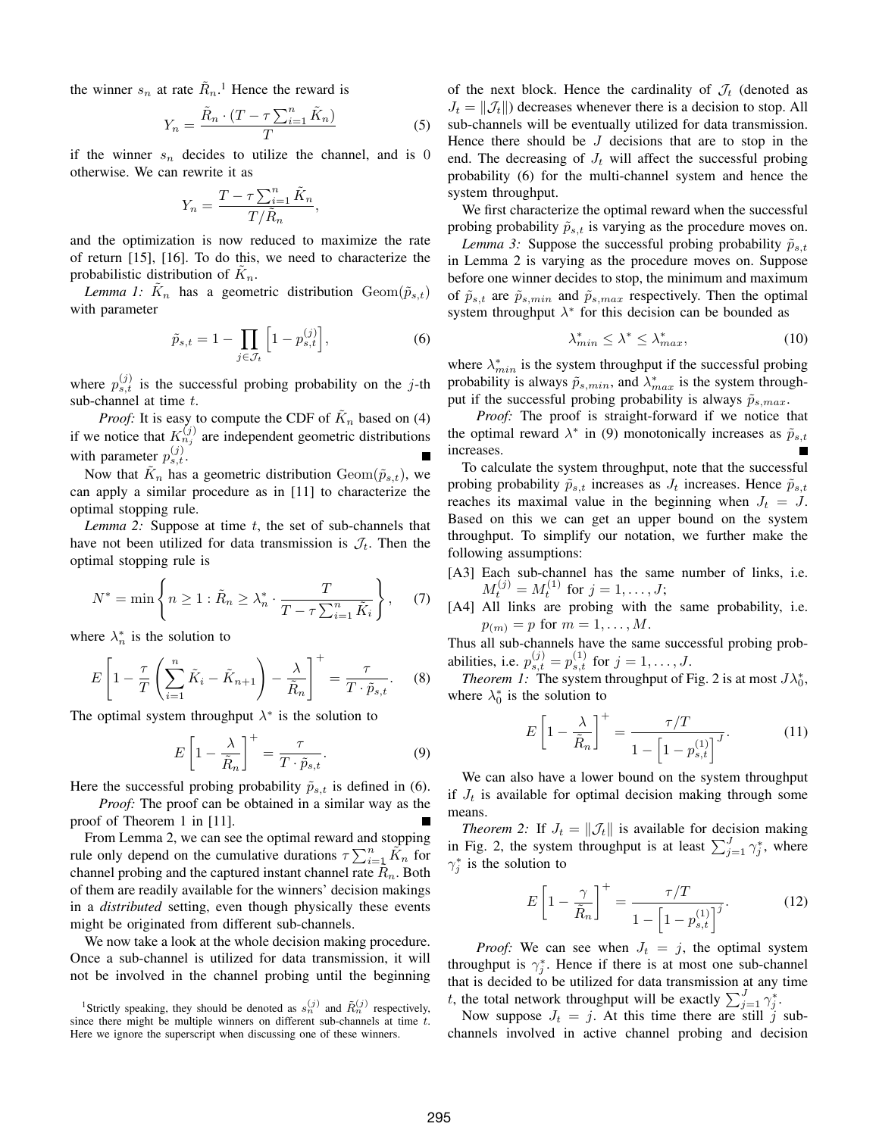the winner  $s_n$  at rate  $\tilde{R}_n$ .<sup>1</sup> Hence the reward is

$$
Y_n = \frac{\tilde{R}_n \cdot (T - \tau \sum_{i=1}^n \tilde{K}_n)}{T}
$$
 (5)

if the winner  $s_n$  decides to utilize the channel, and is 0 otherwise. We can rewrite it as

$$
Y_n = \frac{T - \tau \sum_{i=1}^n \tilde{K}_n}{T/\tilde{R}_n},
$$

and the optimization is now reduced to maximize the rate of return [15], [16]. To do this, we need to characterize the probabilistic distribution of  $\tilde{K}_n$ .

*Lemma 1:*  $\tilde{K}_n$  has a geometric distribution  $Geom(\tilde{p}_{s,t})$ with parameter

$$
\tilde{p}_{s,t} = 1 - \prod_{j \in \mathcal{J}_t} \left[ 1 - p_{s,t}^{(j)} \right],\tag{6}
$$

where  $p_{s,t}^{(j)}$  is the successful probing probability on the j-th sub-channel at time  $t$ .

*Proof:* It is easy to compute the CDF of  $K_n$  based on (4) if we notice that  $K_{n_j}^{(j)}$  are independent geometric distributions with parameter  $p_{s,t}^{(j)}$ .

Now that  $\tilde{K}_n$  has a geometric distribution  $\text{Geom}(\tilde{p}_{s,t}),$  we can apply a similar procedure as in [11] to characterize the optimal stopping rule.

*Lemma 2:* Suppose at time t, the set of sub-channels that have not been utilized for data transmission is  $\mathcal{J}_t$ . Then the optimal stopping rule is

$$
N^* = \min\left\{ n \ge 1 : \tilde{R}_n \ge \lambda_n^* \cdot \frac{T}{T - \tau \sum_{i=1}^n \tilde{K}_i} \right\},\tag{7}
$$

where  $\lambda_n^*$  is the solution to

$$
E\left[1-\frac{\tau}{T}\left(\sum_{i=1}^{n}\tilde{K}_{i}-\tilde{K}_{n+1}\right)-\frac{\lambda}{\tilde{R}_{n}}\right]^{+}=\frac{\tau}{T\cdot\tilde{p}_{s,t}}.\tag{8}
$$

The optimal system throughput  $\lambda^*$  is the solution to

$$
E\left[1-\frac{\lambda}{\tilde{R}_n}\right]^+=\frac{\tau}{T\cdot\tilde{p}_{s,t}}.\tag{9}
$$

Here the successful probing probability  $\tilde{p}_{s,t}$  is defined in (6).

*Proof:* The proof can be obtained in a similar way as the proof of Theorem 1 in [11].

From Lemma 2, we can see the optimal reward and stopping rule only depend on the cumulative durations  $\tau \sum_{i=1}^n \tilde{K}_n$  for channel probing and the captured instant channel rate  $\overline{R}_n$ . Both of them are readily available for the winners' decision makings in a *distributed* setting, even though physically these events might be originated from different sub-channels.

We now take a look at the whole decision making procedure. Once a sub-channel is utilized for data transmission, it will not be involved in the channel probing until the beginning

of the next block. Hence the cardinality of  $\mathcal{J}_t$  (denoted as  $J_t = ||\mathcal{J}_t||$  decreases whenever there is a decision to stop. All sub-channels will be eventually utilized for data transmission. Hence there should be  $J$  decisions that are to stop in the end. The decreasing of  $J_t$  will affect the successful probing probability (6) for the multi-channel system and hence the system throughput.

We first characterize the optimal reward when the successful probing probability  $\tilde{p}_{s,t}$  is varying as the procedure moves on.

*Lemma 3:* Suppose the successful probing probability  $\tilde{p}_{s,t}$ in Lemma 2 is varying as the procedure moves on. Suppose before one winner decides to stop, the minimum and maximum of  $\tilde{p}_{s,t}$  are  $\tilde{p}_{s,min}$  and  $\tilde{p}_{s,max}$  respectively. Then the optimal system throughput  $\lambda^*$  for this decision can be bounded as

$$
\lambda_{min}^* \le \lambda^* \le \lambda_{max}^*,\tag{10}
$$

where  $\lambda_{min}^*$  is the system throughput if the successful probing probability is always  $\tilde{p}_{s,min}$ , and  $\lambda_{max}^*$  is the system throughput if the successful probing probability is always  $\tilde{p}_{s,max}$ .

*Proof:* The proof is straight-forward if we notice that the optimal reward  $\lambda^*$  in (9) monotonically increases as  $\tilde{p}_{s,t}$ increases.

To calculate the system throughput, note that the successful probing probability  $\tilde{p}_{s,t}$  increases as  $J_t$  increases. Hence  $\tilde{p}_{s,t}$ reaches its maximal value in the beginning when  $J_t = J$ . Based on this we can get an upper bound on the system throughput. To simplify our notation, we further make the following assumptions:

- [A3] Each sub-channel has the same number of links, i.e.  $M_t^{(j)} = M_t^{(1)}$  for  $j = 1, ..., J;$
- [A4] All links are probing with the same probability, i.e.  $p_{(m)} = p$  for  $m = 1, ..., M$ .

Thus all sub-channels have the same successful probing probabilities, i.e.  $p_{s,t}^{(j)} = p_{s,t}^{(1)}$  for  $j = 1, ..., J$ .

*Theorem 1:* The system throughput of Fig. 2 is at most  $J\lambda_0^*$ , where  $\lambda_0^*$  is the solution to

$$
E\left[1 - \frac{\lambda}{\tilde{R}_n}\right]^+ = \frac{\tau/T}{1 - \left[1 - p_{s,t}^{(1)}\right]^J}.
$$
 (11)

We can also have a lower bound on the system throughput if  $J_t$  is available for optimal decision making through some means.

*Theorem 2:* If  $J_t = ||J_t||$  is available for decision making in Fig. 2, the system throughput is at least  $\sum_{j=1}^{J} \gamma_j^*$ , where  $\gamma_j^*$  is the solution to

$$
E\left[1 - \frac{\gamma}{\tilde{R}_n}\right]^+ = \frac{\tau/T}{1 - \left[1 - p_{s,t}^{(1)}\right]^j}.
$$
 (12)

*Proof:* We can see when  $J_t = j$ , the optimal system throughput is  $\gamma_j^*$ . Hence if there is at most one sub-channel that is decided to be utilized for data transmission at any time t, the total network throughput will be exactly  $\sum_{j=1}^{J} \gamma_j^*$ .

Now suppose  $J_t = j$ . At this time there are still j subchannels involved in active channel probing and decision

<sup>&</sup>lt;sup>1</sup>Strictly speaking, they should be denoted as  $s_n^{(j)}$  and  $\tilde{R}_n^{(j)}$  respectively, since there might be multiple winners on different sub-channels at time  $t$ . Here we ignore the superscript when discussing one of these winners.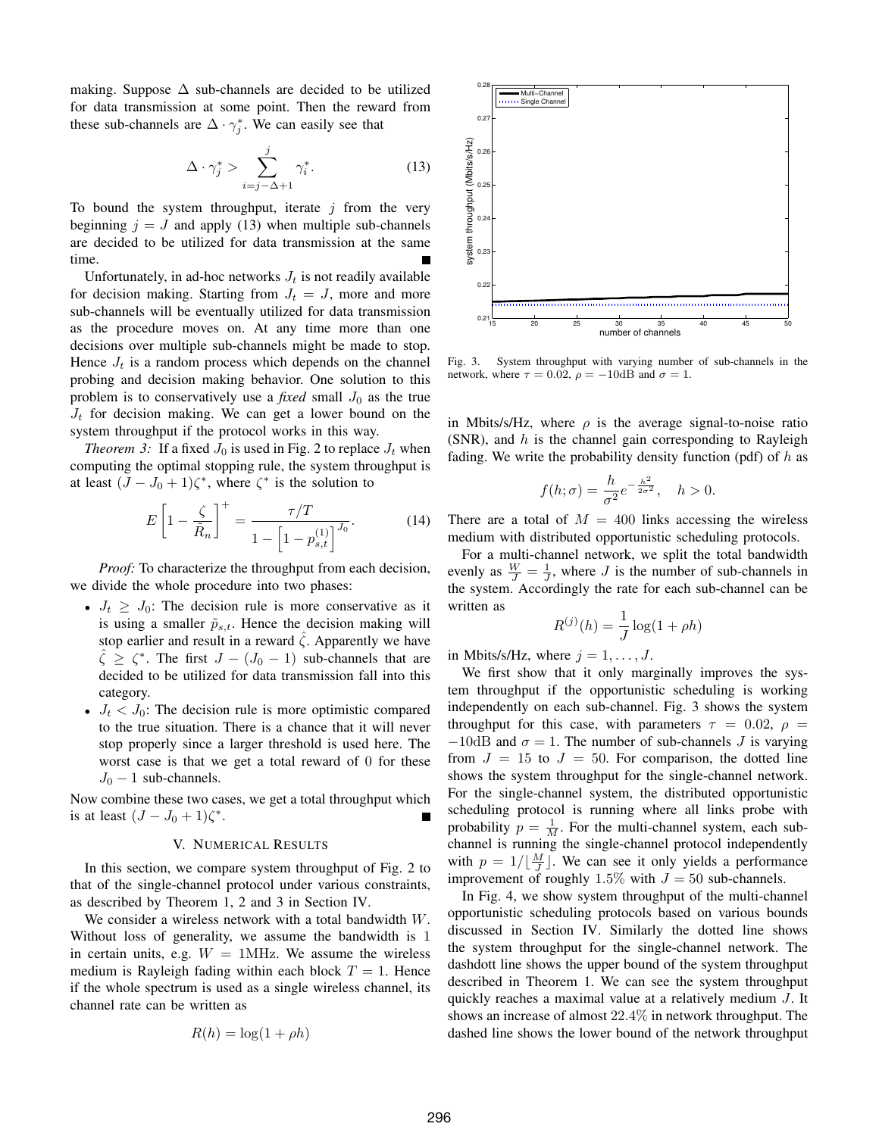making. Suppose  $\Delta$  sub-channels are decided to be utilized for data transmission at some point. Then the reward from these sub-channels are  $\Delta \cdot \gamma_j^*$ . We can easily see that

$$
\Delta \cdot \gamma_j^* > \sum_{i=j-\Delta+1}^j \gamma_i^* \tag{13}
$$

To bound the system throughput, iterate  $j$  from the very beginning  $j = J$  and apply (13) when multiple sub-channels are decided to be utilized for data transmission at the same time.

Unfortunately, in ad-hoc networks  $J_t$  is not readily available for decision making. Starting from  $J_t = J$ , more and more sub-channels will be eventually utilized for data transmission as the procedure moves on. At any time more than one decisions over multiple sub-channels might be made to stop. Hence  $J_t$  is a random process which depends on the channel probing and decision making behavior. One solution to this problem is to conservatively use a *fixed* small  $J_0$  as the true  $J_t$  for decision making. We can get a lower bound on the system throughput if the protocol works in this way.

*Theorem 3:* If a fixed  $J_0$  is used in Fig. 2 to replace  $J_t$  when computing the optimal stopping rule, the system throughput is at least  $(J - J_0 + 1)\zeta^*$ , where  $\zeta^*$  is the solution to

$$
E\left[1-\frac{\zeta}{\tilde{R}_n}\right]^+=\frac{\tau/T}{1-\left[1-p_{s,t}^{(1)}\right]^{J_0}}.\tag{14}
$$

*Proof:* To characterize the throughput from each decision, we divide the whole procedure into two phases:

- $J_t \geq J_0$ : The decision rule is more conservative as it is using a smaller  $\tilde{p}_{s,t}$ . Hence the decision making will stop earlier and result in a reward  $\hat{\zeta}$ . Apparently we have  $\hat{\zeta} \geq \zeta^*$ . The first  $J - (J_0 - 1)$  sub-channels that are decided to be utilized for data transmission fall into this category.
- $J_t < J_0$ : The decision rule is more optimistic compared to the true situation. There is a chance that it will never stop properly since a larger threshold is used here. The worst case is that we get a total reward of 0 for these  $J_0$  – 1 sub-channels.

Now combine these two cases, we get a total throughput which is at least  $(J-J_0+1)\zeta^*$ .

## V. NUMERICAL RESULTS

In this section, we compare system throughput of Fig. 2 to that of the single-channel protocol under various constraints, as described by Theorem 1, 2 and 3 in Section IV.

We consider a wireless network with a total bandwidth W. Without loss of generality, we assume the bandwidth is 1 in certain units, e.g.  $W = 1$ MHz. We assume the wireless medium is Rayleigh fading within each block  $T = 1$ . Hence if the whole spectrum is used as a single wireless channel, its channel rate can be written as

$$
R(h) = \log(1 + \rho h)
$$



Fig. 3. System throughput with varying number of sub-channels in the network, where  $\tau = 0.02$ ,  $\rho = -10$ dB and  $\sigma = 1$ .

in Mbits/s/Hz, where  $\rho$  is the average signal-to-noise ratio (SNR), and  $h$  is the channel gain corresponding to Rayleigh fading. We write the probability density function (pdf) of  $h$  as

$$
f(h; \sigma) = \frac{h}{\sigma^2} e^{-\frac{h^2}{2\sigma^2}}, \quad h > 0.
$$

There are a total of  $M = 400$  links accessing the wireless medium with distributed opportunistic scheduling protocols.

For a multi-channel network, we split the total bandwidth evenly as  $\frac{W}{J} = \frac{1}{J}$ , where J is the number of sub-channels in the system. Accordingly the rate for each sub-channel can be written as

$$
R^{(j)}(h) = \frac{1}{J} \log(1 + \rho h)
$$

in Mbits/s/Hz, where  $j = 1, \ldots, J$ .

We first show that it only marginally improves the system throughput if the opportunistic scheduling is working independently on each sub-channel. Fig. 3 shows the system throughput for this case, with parameters  $\tau = 0.02$ ,  $\rho =$  $-10$ dB and  $\sigma = 1$ . The number of sub-channels J is varying from  $J = 15$  to  $J = 50$ . For comparison, the dotted line shows the system throughput for the single-channel network. For the single-channel system, the distributed opportunistic scheduling protocol is running where all links probe with probability  $p = \frac{1}{M}$ . For the multi-channel system, each subchannel is running the single-channel protocol independently with  $p = 1/\lfloor \frac{M}{J} \rfloor$ . We can see it only yields a performance improvement of roughly 1.5% with  $J = 50$  sub-channels.

In Fig. 4, we show system throughput of the multi-channel opportunistic scheduling protocols based on various bounds discussed in Section IV. Similarly the dotted line shows the system throughput for the single-channel network. The dashdott line shows the upper bound of the system throughput described in Theorem 1. We can see the system throughput quickly reaches a maximal value at a relatively medium J. It shows an increase of almost 22.4% in network throughput. The dashed line shows the lower bound of the network throughput